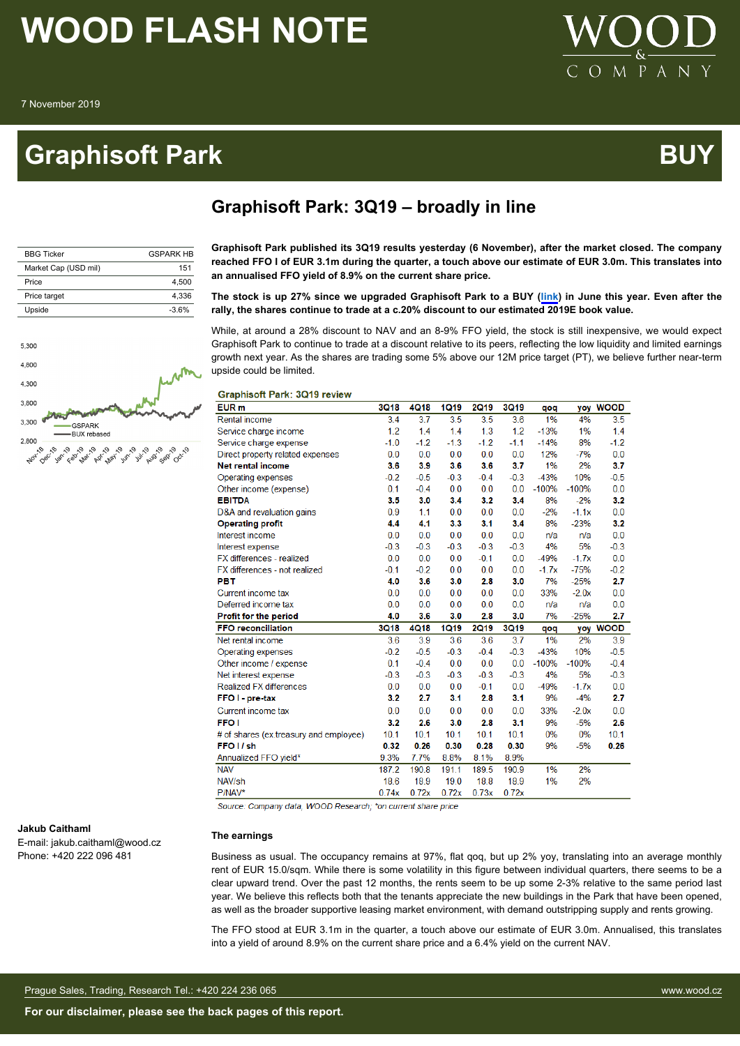### **Graphisoft Park Australian Control Control Control Control Control Control Control Control Control Control Co**



A N

 $\mathbf{P}$ 

| <b>BBG Ticker</b>    | <b>GSPARK HR</b> |
|----------------------|------------------|
| Market Cap (USD mil) | 151              |
| Price                | 4.500            |
| Price target         | 4.336            |
| Upside               | $-3.6%$          |



**Graphisoft Park: 3Q19 – broadly in line**

**Graphisoft Park published its 3Q19 results yesterday (6 November), after the market closed. The company reached FFO I of EUR 3.1m during the quarter, a touch above our estimate of EUR 3.0m. This translates into an annualised FFO yield of 8.9% on the current share price.**

#### **The stock is up 27% since we upgraded Graphisoft Park to a BUY [\(link](http://woodandco.worldflowconnect.net/go/218111f3-0d95-45a8-b2e6-2a524dbd1d56/CEE_Real%20Estate_Update_12Jun2019.pdf)) in June this year. Even after the rally, the shares continue to trade at a c.20% discount to our estimated 2019E book value.**

While, at around a 28% discount to NAV and an 8-9% FFO yield, the stock is still inexpensive, we would expect Graphisoft Park to continue to trade at a discount relative to its peers, reflecting the low liquidity and limited earnings growth next year. As the shares are trading some 5% above our 12M price target (PT), we believe further near-term upside could be limited.

#### **Graphisoft Park: 3Q19 review**

| EUR <sub>m</sub>                       | <b>3Q18</b> | <b>4Q18</b> | <b>1Q19</b> | <b>2Q19</b> | 3Q19        | qoq     | yoy     | <b>WOOD</b> |
|----------------------------------------|-------------|-------------|-------------|-------------|-------------|---------|---------|-------------|
| <b>Rental income</b>                   | 3.4         | 3.7         | 3.5         | 3.5         | 3.6         | 1%      | 4%      | 3.5         |
| Service charge income                  | 1.2         | 1.4         | 1.4         | 1.3         | 1.2         | $-13%$  | 1%      | 1.4         |
| Service charge expense                 | $-1.0$      | $-1.2$      | $-1.3$      | $-1.2$      | $-1.1$      | $-14%$  | 8%      | $-1.2$      |
| Direct property related expenses       | 0.0         | 0.0         | 0.0         | 0.0         | 0.0         | 12%     | $-7%$   | 0.0         |
| <b>Net rental income</b>               | 3.6         | 3.9         | 3.6         | 3.6         | 3.7         | 1%      | 2%      | 3.7         |
| Operating expenses                     | $-0.2$      | $-0.5$      | $-0.3$      | $-0.4$      | $-0.3$      | $-43%$  | 10%     | $-0.5$      |
| Other income (expense)                 | 0.1         | $-0.4$      | 0.0         | 0.0         | 0.0         | $-100%$ | $-100%$ | 0.0         |
| <b>EBITDA</b>                          | 3.5         | 3.0         | 3.4         | 3.2         | 3.4         | 8%      | $-2%$   | 3.2         |
| D&A and revaluation gains              | 0.9         | 1.1         | 0.0         | 0.0         | 0.0         | $-2%$   | $-1.1x$ | 0.0         |
| <b>Operating profit</b>                | 4.4         | 4.1         | 3.3         | 3.1         | 3.4         | 8%      | $-23%$  | 3.2         |
| Interest income                        | 0.0         | 0.0         | 0.0         | 0.0         | 0.0         | n/a     | n/a     | 0.0         |
| Interest expense                       | $-0.3$      | $-0.3$      | $-0.3$      | $-0.3$      | $-0.3$      | 4%      | 5%      | $-0.3$      |
| FX differences - realized              | 0.0         | 0.0         | 0.0         | $-0.1$      | 0.0         | $-49%$  | $-1.7x$ | 0.0         |
| FX differences - not realized          | $-0.1$      | $-0.2$      | 0.0         | 0.0         | 0.0         | $-1.7x$ | $-75%$  | $-0.2$      |
| <b>PBT</b>                             | 4.0         | 3.6         | 3.0         | 2.8         | 3.0         | 7%      | $-25%$  | 2.7         |
| Current income tax                     | 0.0         | 0.0         | 0.0         | 0.0         | 0.0         | 33%     | $-2.0x$ | 0.0         |
| Deferred income tax                    | 0.0         | 0.0         | 0.0         | 0.0         | 0.0         | n/a     | n/a     | 0.0         |
| Profit for the period                  | 4.0         | 3.6         | 3.0         | 2.8         | 3.0         | 7%      | $-25%$  | 2.7         |
| <b>FFO reconciliation</b>              | <b>3Q18</b> | <b>4Q18</b> | <b>1Q19</b> | <b>2Q19</b> | <b>3Q19</b> | qoq     | yoy     | <b>WOOD</b> |
| Net rental income                      | 3.6         | 3.9         | 3.6         | 3.6         | 3.7         | 1%      | 2%      | 3.9         |
| Operating expenses                     | $-0.2$      | $-0.5$      | $-0.3$      | $-0.4$      | $-0.3$      | $-43%$  | 10%     | $-0.5$      |
| Other income / expense                 | 0.1         | $-0.4$      | 0.0         | 0.0         | 0.0         | $-100%$ | $-100%$ | $-0.4$      |
| Net interest expense                   | $-0.3$      | $-0.3$      | $-0.3$      | $-0.3$      | $-0.3$      | 4%      | 5%      | $-0.3$      |
| <b>Realized FX differences</b>         | 0.0         | 0.0         | 0.0         | $-0.1$      | 0.0         | $-49%$  | $-1.7x$ | 0.0         |
| FFO I - pre-tax                        | 3.2         | 2.7         | 3.1         | 2.8         | 3.1         | 9%      | $-4%$   | 2.7         |
| Current income tax                     | 0.0         | 0.0         | 0.0         | 0.0         | 0.0         | 33%     | $-2.0x$ | 0.0         |
| <b>FFO</b> I                           | 3.2         | 2.6         | 3.0         | 2.8         | 3.1         | 9%      | $-5%$   | 2.6         |
| # of shares (ex.treasury and employee) | 10.1        | 10.1        | 10.1        | 10.1        | 10.1        | 0%      | 0%      | 10.1        |
| FFO <sub>I</sub> sh                    | 0.32        | 0.26        | 0.30        | 0.28        | 0.30        | 9%      | $-5%$   | 0.26        |
| Annualized FFO yield*                  | 9.3%        | 7.7%        | 8.8%        | 8.1%        | 8.9%        |         |         |             |
| <b>NAV</b>                             | 187.2       | 190.8       | 191.1       | 189.5       | 190.9       | 1%      | 2%      |             |
| NAV/sh                                 | 18.6        | 18.9        | 19.0        | 18.8        | 18.9        | 1%      | 2%      |             |
| P/NAV*                                 | 0.74x       | 0.72x       | 0.72x       | 0.73x       | 0.72x       |         |         |             |

Source: Company data, WOOD Research: \*on current share price

#### **The earnings**

Business as usual. The occupancy remains at 97%, flat qoq, but up 2% yoy, translating into an average monthly rent of EUR 15.0/sqm. While there is some volatility in this figure between individual quarters, there seems to be a clear upward trend. Over the past 12 months, the rents seem to be up some 2-3% relative to the same period last year. We believe this reflects both that the tenants appreciate the new buildings in the Park that have been opened, as well as the broader supportive leasing market environment, with demand outstripping supply and rents growing.

The FFO stood at EUR 3.1m in the quarter, a touch above our estimate of EUR 3.0m. Annualised, this translates into a yield of around 8.9% on the current share price and a 6.4% yield on the current NAV.

#### **Jakub Caithaml**

E-mail: jakub.caithaml@wood.cz Phone: +420 222 096 481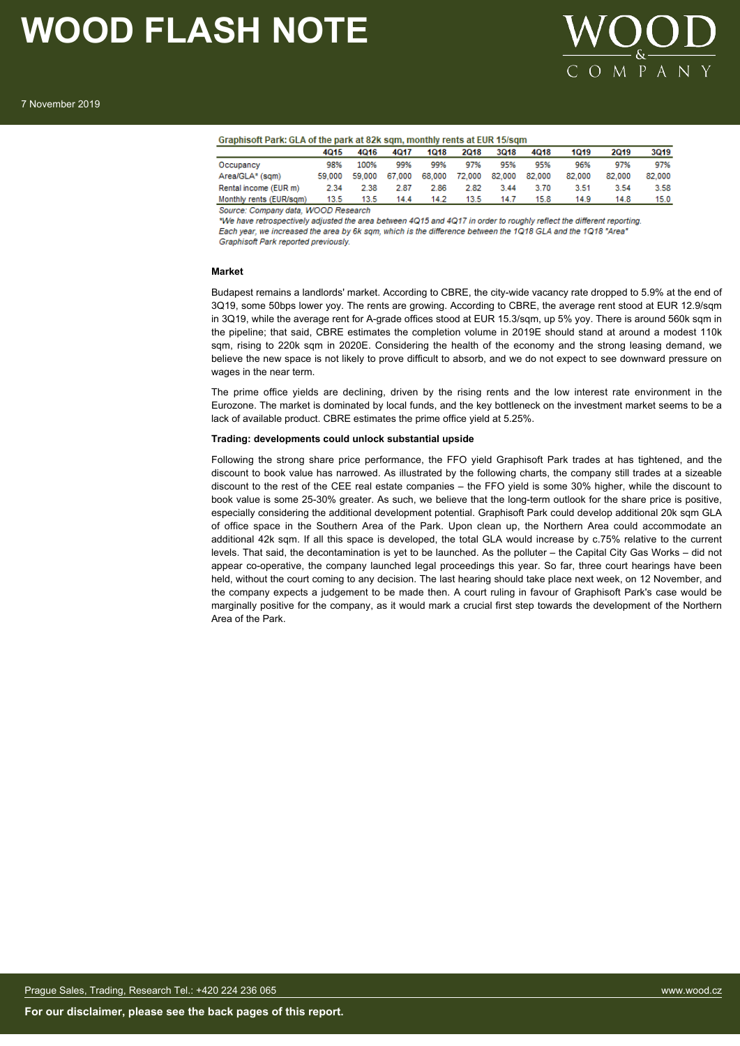

| Graphisoft Park: GLA of the park at 82k sqm, monthly rents at EUR 15/sqm |        |        |        |        |        |        |        |        |        |
|--------------------------------------------------------------------------|--------|--------|--------|--------|--------|--------|--------|--------|--------|
| 4015                                                                     | 4016   | 4017   | 1018   | 2018   | 3018   | 4Q18   | 1019   | 2019   | 3Q19   |
| 98%                                                                      | 100%   | 99%    | 99%    | 97%    | 95%    | 95%    | 96%    | 97%    | 97%    |
| 59.000                                                                   | 59.000 | 67,000 | 68.000 | 72.000 | 82.000 | 82.000 | 82.000 | 82,000 | 82.000 |
| 2.34                                                                     | 2.38   | 2.87   | 2.86   | 2.82   | 3.44   | 3.70   | 3.51   | 3.54   | 3.58   |
| 13.5                                                                     | 13.5   | 14.4   | 14.2   | 13.5   | 14.7   | 15.8   | 14.9   | 14.8   | 15.0   |
|                                                                          |        |        |        |        |        |        |        |        |        |

Source: Company data, WOOD Research

\*We have retrospectively adjusted the area between 4Q15 and 4Q17 in order to roughly reflect the different reporting Each year, we increased the area by 6k sqm, which is the difference between the 1Q18 GLA and the 1Q18 "Area" Graphisoft Park reported previously

#### **Market**

Budapest remains a landlords' market. According to CBRE, the city-wide vacancy rate dropped to 5.9% at the end of 3Q19, some 50bps lower yoy. The rents are growing. According to CBRE, the average rent stood at EUR 12.9/sqm in 3Q19, while the average rent for A-grade offices stood at EUR 15.3/sqm, up 5% yoy. There is around 560k sqm in the pipeline; that said, CBRE estimates the completion volume in 2019E should stand at around a modest 110k sqm, rising to 220k sqm in 2020E. Considering the health of the economy and the strong leasing demand, we believe the new space is not likely to prove difficult to absorb, and we do not expect to see downward pressure on wages in the near term.

The prime office yields are declining, driven by the rising rents and the low interest rate environment in the Eurozone. The market is dominated by local funds, and the key bottleneck on the investment market seems to be a lack of available product. CBRE estimates the prime office yield at 5.25%.

#### **Trading: developments could unlock substantial upside**

Following the strong share price performance, the FFO yield Graphisoft Park trades at has tightened, and the discount to book value has narrowed. As illustrated by the following charts, the company still trades at a sizeable discount to the rest of the CEE real estate companies – the FFO yield is some 30% higher, while the discount to book value is some 25-30% greater. As such, we believe that the long-term outlook for the share price is positive, especially considering the additional development potential. Graphisoft Park could develop additional 20k sqm GLA of office space in the Southern Area of the Park. Upon clean up, the Northern Area could accommodate an additional 42k sqm. If all this space is developed, the total GLA would increase by c.75% relative to the current levels. That said, the decontamination is yet to be launched. As the polluter – the Capital City Gas Works – did not appear co-operative, the company launched legal proceedings this year. So far, three court hearings have been held, without the court coming to any decision. The last hearing should take place next week, on 12 November, and the company expects a judgement to be made then. A court ruling in favour of Graphisoft Park's case would be marginally positive for the company, as it would mark a crucial first step towards the development of the Northern Area of the Park.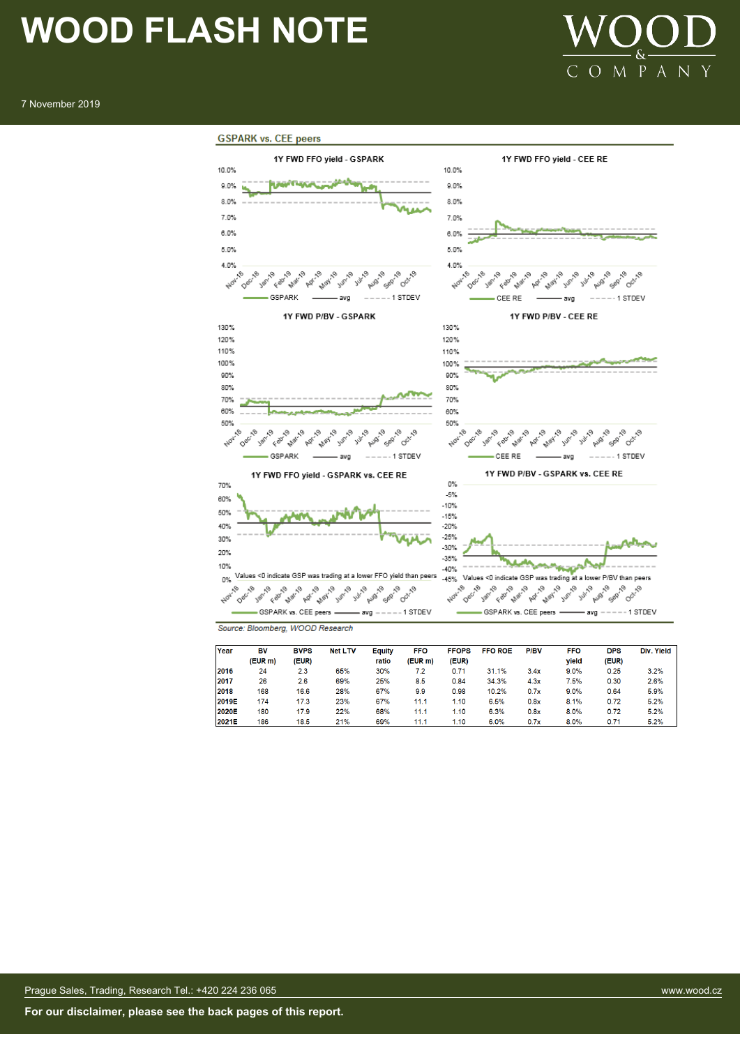#### 7 November 2019





Source: Bloomberg, WOOD Research

| Year  | BV      | <b>BVPS</b> | <b>Net LTV</b> | Equity | <b>FFO</b> | <b>FFOPS</b> | <b>FFO ROE</b> | <b>P/BV</b> | <b>FFO</b> | <b>DPS</b> | Div. Yield |
|-------|---------|-------------|----------------|--------|------------|--------------|----------------|-------------|------------|------------|------------|
|       | (EUR m) | (EUR)       |                | ratio  | (EUR m)    | (EUR)        |                |             | vield      | (EUR)      |            |
| 2016  | 24      | 2.3         | 65%            | 30%    | 7.2        | 0.71         | 31.1%          | 3.4x        | 9.0%       | 0.25       | 3.2%       |
| 2017  | 26      | 2.6         | 69%            | 25%    | 8.5        | 0.84         | 34.3%          | 4.3x        | 7.5%       | 0.30       | 2.6%       |
| 2018  | 168     | 16.6        | 28%            | 67%    | 9.9        | 0.98         | 10.2%          | 0.7x        | 9.0%       | 0.64       | 5.9%       |
| 2019E | 174     | 17.3        | 23%            | 67%    | 11.1       | 1.10         | 6.5%           | 0.8x        | 8.1%       | 0.72       | 5.2%       |
| 2020E | 180     | 17.9        | 22%            | 68%    | 11.1       | 1.10         | 6.3%           | 0.8x        | 8.0%       | 0.72       | 5.2%       |
| 2021E | 186     | 18.5        | 21%            | 69%    | 11.1       | 1.10         | 6.0%           | 0.7x        | 8.0%       | 0.71       | 5.2%       |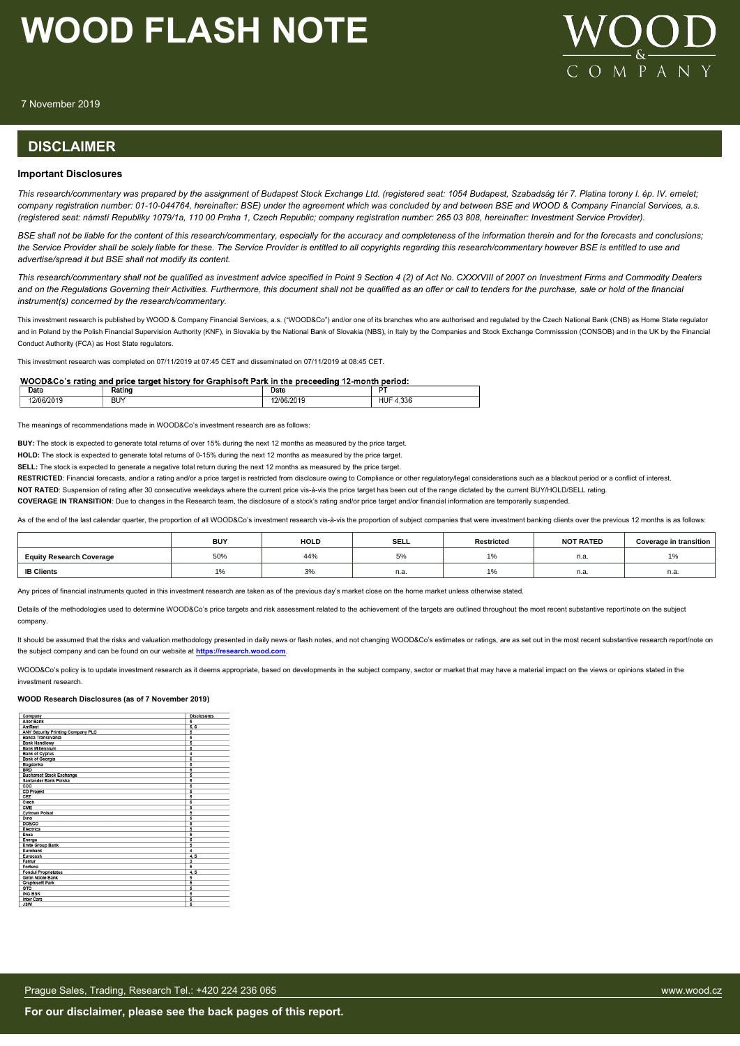

7 November 2019

#### **DISCLAIMER**

#### **Important Disclosures**

*This research/commentary was prepared by the assignment of Budapest Stock Exchange Ltd. (registered seat: 1054 Budapest, Szabadság tér 7. Platina torony I. ép. IV. emelet; company registration number: 01-10-044764, hereinafter: BSE) under the agreement which was concluded by and between BSE and WOOD & Company Financial Services, a.s. (registered seat: námstí Republiky 1079/1a, 110 00 Praha 1, Czech Republic; company registration number: 265 03 808, hereinafter: Investment Service Provider).*

*BSE shall not be liable for the content of this research/commentary, especially for the accuracy and completeness of the information therein and for the forecasts and conclusions; the Service Provider shall be solely liable for these. The Service Provider is entitled to all copyrights regarding this research/commentary however BSE is entitled to use and advertise/spread it but BSE shall not modify its content.*

*This research/commentary shall not be qualified as investment advice specified in Point 9 Section 4 (2) of Act No. CXXXVIII of 2007 on Investment Firms and Commodity Dealers and on the Regulations Governing their Activities. Furthermore, this document shall not be qualified as an offer or call to tenders for the purchase, sale or hold of the financial instrument(s) concerned by the research/commentary.*

This investment research is published by WOOD & Company Financial Services, a.s. ("WOOD&Co") and/or one of its branches who are authorised and regulated by the Czech National Bank (CNB) as Home State regulator and in Poland by the Polish Financial Supervision Authority (KNF), in Slovakia by the National Bank of Slovakia (NBS), in Italy by the Companies and Stock Exchange Commisssion (CONSOB) and in the UK by the Financial Conduct Authority (FCA) as Host State regulators.

This investment research was completed on 07/11/2019 at 07:45 CET and disseminated on 07/11/2019 at 08:45 CET.

#### WOOD&Co's rating and price target history for Graphisoft Park in the preceeding 12-month period:

| Date<br>_____ | ---- | Date | DТ   |
|---------------|------|------|------|
| ≅нц.<br>-20   | ВU   |      | .336 |

The meanings of recommendations made in WOOD&Co's investment research are as follows:

**BUY:** The stock is expected to generate total returns of over 15% during the next 12 months as measured by the price target.

**HOLD:** The stock is expected to generate total returns of 0-15% during the next 12 months as measured by the price target.

**SELL:** The stock is expected to generate a negative total return during the next 12 months as measured by the price target.

RESTRICTED: Financial forecasts, and/or a rating and/or a price target is restricted from disclosure owing to Compliance or other regulatory/legal considerations such as a blackout period or a conflict of interest.

NOT RATED: Suspension of rating after 30 consecutive weekdays where the current price vis-à-vis the price target has been out of the range dictated by the current BUY/HOLD/SELL rating.

**COVERAGE IN TRANSITION**: Due to changes in the Research team, the disclosure of a stock's rating and/or price target and/or financial information are temporarily suspended.

As of the end of the last calendar quarter, the proportion of all WOOD&Co's investment research vis-à-vis the proportion of subject companies that were investment banking clients over the previous 12 months is as follows:

|                                 | <b>BUY</b> | <b>HOLD</b>    | <b>SELL</b>     | <b>Restricted</b>                                         | <b>NOT RATED</b> | Coverage in transition |
|---------------------------------|------------|----------------|-----------------|-----------------------------------------------------------|------------------|------------------------|
| <b>Equity Research Coverage</b> | 50%        | 44%            | $-\alpha$<br>5% | $\overline{A}$ $\overline{A}$<br>- 70                     | n.a              | 1%                     |
| <b>IB Clients</b>               |            | $\Omega$<br>3% | n.a.            | $\overline{A}$ $\overline{A}$<br>$\overline{\phantom{a}}$ | n.a              | n.a.                   |

Any prices of financial instruments quoted in this investment research are taken as of the previous day's market close on the home market unless otherwise stated.

Details of the methodologies used to determine WOOD&Co's price targets and risk assessment related to the achievement of the targets are outlined throughout the most recent substantive report/note on the subject company.

It should be assumed that the risks and valuation methodology presented in daily news or flash notes, and not changing WOOD&Co's estimates or ratings, are as set out in the most recent substantive research report/note on the subject company and can be found on our website at **[https://research.wood.com](https://research.wood.com/)**.

WOOD&Co's policy is to update investment research as it deems appropriate, based on developments in the subject company, sector or market that may have a material impact on the views or opinions stated in the investment research.

#### **WOOD Research Disclosures (as of 7 November 2019)**

| Company                           | <b>Disclosures</b>      |
|-----------------------------------|-------------------------|
| <b>Alior Bank</b>                 | 5                       |
| <b>AmRest</b>                     | 5, 6                    |
| ANY Security Printing Company PLC | 5                       |
| <b>Banca Transilvania</b>         | $\overline{5}$          |
| <b>Bank Handlowy</b>              | 5                       |
| <b>Bank Millennium</b>            | 5                       |
| <b>Bank of Cyprus</b>             | 4                       |
| <b>Bank of Georgia</b>            | $\overline{\mathbf{6}}$ |
| Bogdanka                          | 5                       |
| <b>BRD</b>                        | 5                       |
| <b>Bucharest Stock Exchange</b>   | 5                       |
| Santander Bank Polska             | 5                       |
| ccc                               | $\overline{5}$          |
| <b>CD Projekt</b>                 | $\overline{\mathbf{5}}$ |
| CEZ                               | 5                       |
| Ciech                             | 5                       |
| CME                               | 5                       |
| <b>Cyfrowy Polsat</b>             | $\overline{5}$          |
| Dino                              | 5                       |
| <b>DO&amp;CO</b>                  | 5                       |
| Electrica                         | 5                       |
| Enea                              | 5                       |
| Energa                            | 5                       |
| <b>Erste Group Bank</b>           | $\overline{5}$          |
| Eurobank                          | 4                       |
| Eurocash                          | 4.5                     |
| Famur                             | $\overline{\mathbf{3}}$ |
| Fortuna                           | 5                       |
| <b>Fondul Proprietatea</b>        | 4, 5                    |
| <b>Getin Noble Bank</b>           | 5                       |
| <b>Graphisoft Park</b>            | 5                       |
| <b>GTC</b>                        | 5                       |
| <b>ING BSK</b>                    | 5                       |
| <b>Inter Cars</b>                 | $\overline{5}$          |
| <b>ICIAL</b>                      | E                       |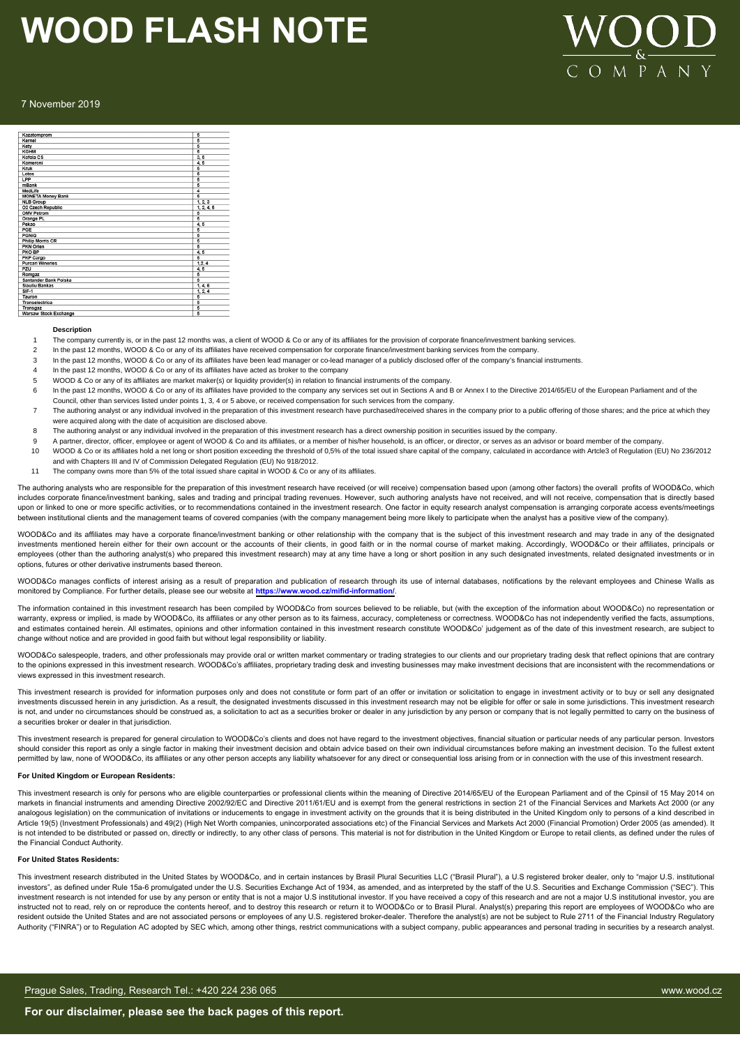

#### 7 November 2019

| Kazatomprom              | 5                       |
|--------------------------|-------------------------|
| Kernel                   | 5                       |
| Kety                     | $\overline{6}$          |
| KGHM                     | 5                       |
| Kofola CS                | 3.5                     |
| Komercni                 | 4.5                     |
| Kruk                     | 5                       |
| Lotos                    | 5                       |
| LPP                      | 5                       |
| mBank                    | $\overline{5}$          |
| Medl.ife                 | 4                       |
| <b>MONETA Money Bank</b> | 5                       |
| <b>NLB Group</b>         | 1, 2, 3                 |
| O2 Czech Republic        | 1, 2, 4, 5              |
| <b>OMV Petrom</b>        | 5                       |
| Orange PL                | 5                       |
| Pekao                    | 4, 5                    |
| PGE                      | 5                       |
| PGNIG                    | 5                       |
| <b>Philip Morris CR</b>  | $\overline{\mathbf{5}}$ |
| PKN Orien                | $\overline{5}$          |
| PKO BP                   | 4, 5                    |
| <b>PKP Cargo</b>         | 5                       |
| <b>Purcari Wineries</b>  | 1, 2, 4                 |
| PZU                      | 4, 5                    |
| Romgaz                   | 5                       |
| Santander Bank Polska    | $\overline{5}$          |
| <b>Siauliu Bankas</b>    | 1, 4, 6                 |
| $SIF-1$                  | 1, 2, 4                 |
| Tauron                   | 5                       |
| Transelectrica           | $\overline{\mathbf{5}}$ |
| Transgaz                 | 5                       |
| Warsaw Stock Exchange    | 5                       |

#### **Description**

- The company currently is, or in the past 12 months was, a client of WOOD & Co or any of its affiliates for the provision of corporate finance/investment banking services.
- 2 In the past 12 months, WOOD & Co or any of its affiliates have received compensation for corporate finance/investment banking services from the company
- 3 In the past 12 months, WOOD & Co or any of its affiliates have been lead manager or co-lead manager of a publicly disclosed offer of the company's financial instruments.
- In the past 12 months, WOOD & Co or any of its affiliates have acted as broker to the company
- 5 WOOD & Co or any of its affiliates are market maker(s) or liquidity provider(s) in relation to financial instruments of the company.
- In the past 12 months, WOOD & Co or any of its affiliates have provided to the company any services set out in Sections A and B or Annex I to the Directive 2014/65/EU of the European Parliament and of the Council, other than services listed under points 1, 3, 4 or 5 above, or received compensation for such services from the company.
- 7 The authoring analyst or any individual involved in the preparation of this investment research have purchased/received shares in the company prior to a public offering of those shares; and the price at which they were acquired along with the date of acquisition are disclosed above.
- 8 The authoring analyst or any individual involved in the preparation of this investment research has a direct ownership position in securities issued by the company.
- 9 A partner, director, officer, employee or agent of WOOD & Co and its affiliates, or a member of his/her household, is an officer, or director, or serves as an advisor or board member of the company.
- 10 WOOD & Co or its affiliates hold a net long or short position exceeding the threshold of 0,5% of the total issued share capital of the company, calculated in accordance with Artcle3 of Regulation (EU) No 236/2012 and with Chapters III and IV of Commission Delegated Regulation (EU) No 918/2012.
- 11 The company owns more than 5% of the total issued share capital in WOOD & Co or any of its affiliates.

The authoring analysts who are responsible for the preparation of this investment research have received (or will receive) compensation based upon (among other factors) the overall profits of WOOD&Co, which includes corporate finance/investment banking, sales and trading and principal trading revenues. However, such authoring analysts have not received, and will not receive, compensation that is directly based upon or linked to one or more specific activities, or to recommendations contained in the investment research. One factor in equity research analyst compensation is arranging corporate access events/meetings between institutional clients and the management teams of covered companies (with the company management being more likely to participate when the analyst has a positive view of the company)

WOOD&Co and its affiliates may have a corporate finance/investment banking or other relationship with the company that is the subject of this investment research and may trade in any of the designated investments mentioned herein either for their own account or the accounts of their clients, in good faith or in the normal course of market making. Accordingly, WOOD&Co or their affiliates, principals or employees (other than the authoring analyst(s) who prepared this investment research) may at any time have a long or short position in any such designated investments, related designated investments or in options, futures or other derivative instruments based thereon.

WOOD&Co manages conflicts of interest arising as a result of preparation and publication of research through its use of internal databases, notifications by the relevant employees and Chinese Walls as monitored by Compliance. For further details, please see our website at **https://www.wood.cz/mifid-information/**.

The information contained in this investment research has been compiled by WOOD&Co from sources believed to be reliable, but (with the exception of the information about WOOD&Co) no representation or warranty, express or implied, is made by WOOD&Co, its affiliates or any other person as to its fairness, accuracy, completeness or correctness. WOOD&Co has not independently verified the facts, assumptions, and estimates contained herein. All estimates, opinions and other information contained in this investment research constitute WOOD&Co' judgement as of the date of this investment research, are subject to change without notice and are provided in good faith but without legal responsibility or liability.

WOOD&Co salespeople, traders, and other professionals may provide oral or written market commentary or trading strategies to our clients and our proprietary trading desk that reflect opinions that are contrary to the opinions expressed in this investment research. WOOD&Co's affiliates, proprietary trading desk and investing businesses may make investment decisions that are inconsistent with the recommendations or views expressed in this investment research.

This investment research is provided for information purposes only and does not constitute or form part of an offer or invitation or solicitation to engage in investment activity or to buy or sell any designated investments discussed herein in any jurisdiction. As a result, the designated investments discussed in this investment research may not be eligible for offer or sale in some jurisdictions. This investment research is not, and under no circumstances should be construed as, a solicitation to act as a securities broker or dealer in any jurisdiction by any person or company that is not legally permitted to carry on the business of a securities broker or dealer in that jurisdiction.

This investment research is prepared for general circulation to WOOD&Co's clients and does not have regard to the investment objectives, financial situation or particular needs of any particular person. Investors should consider this report as only a single factor in making their investment decision and obtain advice based on their own individual circumstances before making an investment decision. To the fullest extent permitted by law, none of WOOD&Co, its affiliates or any other person accepts any liability whatsoever for any direct or consequential loss arising from or in connection with the use of this investment research.

#### **For United Kingdom or European Residents:**

This investment research is only for persons who are eligible counterparties or professional clients within the meaning of Directive 2014/65/EU of the European Parliament and of the Cpinsil of 15 May 2014 on markets in financial instruments and amending Directive 2002/92/EC and Directive 2011/61/EU and is exempt from the general restrictions in section 21 of the Financial Services and Markets Act 2000 (or any analogous legislation) on the communication of invitations or inducements to engage in investment activity on the grounds that it is being distributed in the United Kingdom only to persons of a kind described in Article 19(5) (Investment Professionals) and 49(2) (High Net Worth companies, unincorporated associations etc) of the Financial Services and Markets Act 2000 (Financial Promotion) Order 2005 (as amended). It is not intended to be distributed or passed on, directly or indirectly, to any other class of persons. This material is not for distribution in the United Kingdom or Europe to retail clients, as defined under the rules of the Financial Conduct Authority.

#### **For United States Residents:**

This investment research distributed in the United States by WOOD&Co, and in certain instances by Brasil Plural Securities LLC ("Brasil Plural"), a U.S registered broker dealer, only to "major U.S. institutional investors", as defined under Rule 15a-6 promulgated under the U.S. Securities Exchange Act of 1934, as amended, and as interpreted by the staff of the U.S. Securities and Exchange Commission ("SEC"). This investment research is not intended for use by any person or entity that is not a major U.S institutional investor. If you have received a copy of this research and are not a major U.S institutional investor, you are instructed not to read, rely on or reproduce the contents hereof, and to destroy this research or return it to WOOD&Co or to Brasil Plural. Analyst(s) preparing this report are employees of WOOD&Co who are resident outside the United States and are not associated persons or employees of any U.S. registered broker-dealer. Therefore the analyst(s) are not be subject to Rule 2711 of the Financial Industry Regulatory Authority ("FINRA") or to Regulation AC adopted by SEC which, among other things, restrict communications with a subject company, public appearances and personal trading in securities by a research analyst.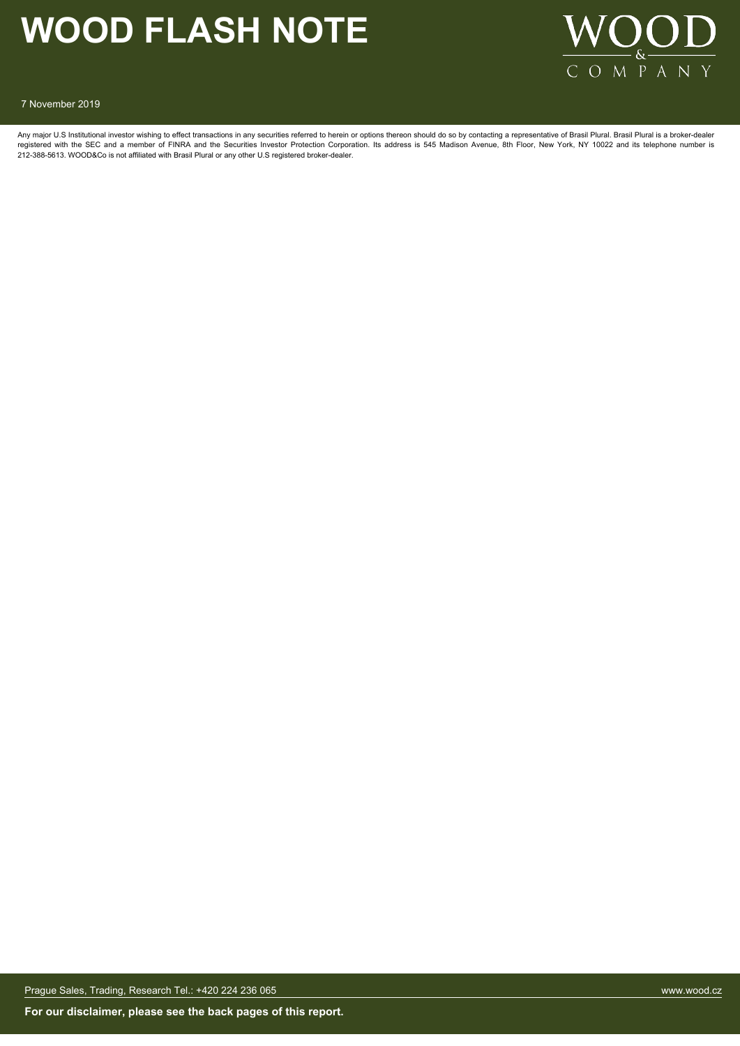

7 November 2019

Any major U.S Institutional investor wishing to effect transactions in any securities referred to herein or options thereon should do so by contacting a representative of Brasil Plural. Brasil Plural is a broker-dealer registered with the SEC and a member of FINRA and the Securities Investor Protection Corporation. Its address is 545 Madison Avenue, 8th Floor, New York, NY 10022 and its telephone number is<br>212-388-5613. WOOD&Co is not af